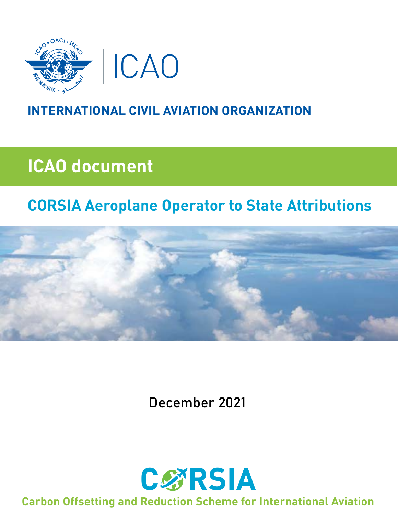

### **INTERNATIONAL CIVIL AVIATION ORGANIZATION**

# **ICAO document**

## **CORSIA Aeroplane Operator to State Attributions**



December 2021



**Carbon Offsetting and Reduction Scheme for International Aviation**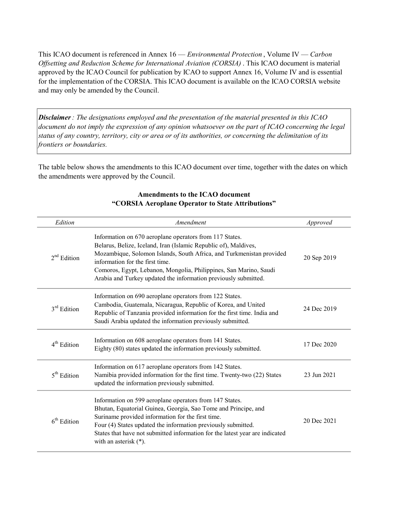This ICAO document is referenced in Annex 16 — *Environmental Protection*, Volume IV — Carbon Offsetting and Reduction Scheme for International Aviation (CORSIA) . This ICAO document is material approved by the ICAO Council for publication by ICAO to support Annex 16, Volume IV and is essential for the implementation of the CORSIA. This ICAO document is available on the ICAO CORSIA website and may only be amended by the Council.

**Disclaimer**: The designations employed and the presentation of the material presented in this ICAO document do not imply the expression of any opinion whatsoever on the part of ICAO concerning the legal status of any country, territory, city or area or of its authorities, or concerning the delimitation of its frontiers or boundaries.

The table below shows the amendments to this ICAO document over time, together with the dates on which the amendments were approved by the Council.

| Edition                 | Amendment                                                                                                                                                                                                                                                                                                                                                                     | Approved    |
|-------------------------|-------------------------------------------------------------------------------------------------------------------------------------------------------------------------------------------------------------------------------------------------------------------------------------------------------------------------------------------------------------------------------|-------------|
| $2nd$ Edition           | Information on 670 aeroplane operators from 117 States.<br>Belarus, Belize, Iceland, Iran (Islamic Republic of), Maldives,<br>Mozambique, Solomon Islands, South Africa, and Turkmenistan provided<br>information for the first time.<br>Comoros, Egypt, Lebanon, Mongolia, Philippines, San Marino, Saudi<br>Arabia and Turkey updated the information previously submitted. | 20 Sep 2019 |
| 3 <sup>rd</sup> Edition | Information on 690 aeroplane operators from 122 States.<br>Cambodia, Guatemala, Nicaragua, Republic of Korea, and United<br>Republic of Tanzania provided information for the first time. India and<br>Saudi Arabia updated the information previously submitted.                                                                                                             | 24 Dec 2019 |
| $4th$ Edition           | Information on 608 aeroplane operators from 141 States.<br>Eighty (80) states updated the information previously submitted.                                                                                                                                                                                                                                                   | 17 Dec 2020 |
| 5 <sup>th</sup> Edition | Information on 617 aeroplane operators from 142 States.<br>Namibia provided information for the first time. Twenty-two (22) States<br>updated the information previously submitted.                                                                                                                                                                                           | 23 Jun 2021 |
| $6th$ Edition           | Information on 599 aeroplane operators from 147 States.<br>Bhutan, Equatorial Guinea, Georgia, Sao Tome and Principe, and<br>Suriname provided information for the first time.<br>Four (4) States updated the information previously submitted.<br>States that have not submitted information for the latest year are indicated<br>with an asterisk $(*)$ .                   | 20 Dec 2021 |

#### Amendments to the ICAO document "CORSIA Aeroplane Operator to State Attributions"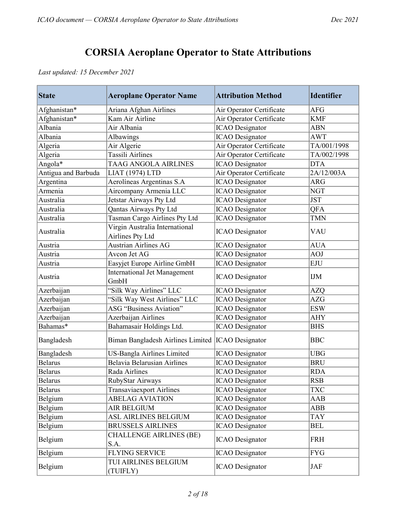#### CORSIA Aeroplane Operator to State Attributions

Last updated: 15 December 2021

| <b>State</b>        | <b>Aeroplane Operator Name</b>                     | <b>Attribution Method</b> | <b>Identifier</b> |
|---------------------|----------------------------------------------------|---------------------------|-------------------|
| Afghanistan*        | Ariana Afghan Airlines                             | Air Operator Certificate  | <b>AFG</b>        |
| Afghanistan*        | Kam Air Airline                                    | Air Operator Certificate  | <b>KMF</b>        |
| Albania             | Air Albania                                        | <b>ICAO</b> Designator    | <b>ABN</b>        |
| Albania             | Albawings                                          | <b>ICAO</b> Designator    | AWT               |
| Algeria             | Air Algerie                                        | Air Operator Certificate  | TA/001/1998       |
| Algeria             | <b>Tassili Airlines</b>                            | Air Operator Certificate  | TA/002/1998       |
| Angola*             | <b>TAAG ANGOLA AIRLINES</b>                        | <b>ICAO</b> Designator    | <b>DTA</b>        |
| Antigua and Barbuda | LIAT (1974) LTD                                    | Air Operator Certificate  | 2A/12/003A        |
| Argentina           | Aerolíneas Argentinas S.A                          | <b>ICAO</b> Designator    | <b>ARG</b>        |
| Armenia             | Aircompany Armenia LLC                             | <b>ICAO</b> Designator    | <b>NGT</b>        |
| Australia           | Jetstar Airways Pty Ltd                            | <b>ICAO</b> Designator    | <b>JST</b>        |
| Australia           | Qantas Airways Pty Ltd                             | <b>ICAO</b> Designator    | QFA               |
| Australia           | Tasman Cargo Airlines Pty Ltd                      | <b>ICAO</b> Designator    | <b>TMN</b>        |
| Australia           | Virgin Australia International<br>Airlines Pty Ltd | <b>ICAO</b> Designator    | VAU               |
| Austria             | <b>Austrian Airlines AG</b>                        | <b>ICAO</b> Designator    | <b>AUA</b>        |
| Austria             | Avcon Jet AG                                       | <b>ICAO</b> Designator    | <b>AOJ</b>        |
| Austria             | Easyjet Europe Airline GmbH                        | <b>ICAO</b> Designator    | <b>EJU</b>        |
| Austria             | <b>International Jet Management</b><br>GmbH        | <b>ICAO</b> Designator    | <b>IJM</b>        |
| Azerbaijan          | "Silk Way Airlines" LLC                            | <b>ICAO</b> Designator    | <b>AZQ</b>        |
| Azerbaijan          | "Silk Way West Airlines" LLC                       | <b>ICAO</b> Designator    | <b>AZG</b>        |
| Azerbaijan          | <b>ASG</b> "Business Aviation"                     | <b>ICAO</b> Designator    | <b>ESW</b>        |
| Azerbaijan          | Azerbaijan Airlines                                | <b>ICAO</b> Designator    | <b>AHY</b>        |
| Bahamas*            | Bahamasair Holdings Ltd.                           | <b>ICAO</b> Designator    | <b>BHS</b>        |
| Bangladesh          | Biman Bangladesh Airlines Limited  ICAO Designator |                           | <b>BBC</b>        |
| Bangladesh          | US-Bangla Airlines Limited                         | <b>ICAO</b> Designator    | <b>UBG</b>        |
| <b>Belarus</b>      | Belavia Belarusian Airlines                        | <b>ICAO</b> Designator    | <b>BRU</b>        |
| <b>Belarus</b>      | Rada Airlines                                      | <b>ICAO</b> Designator    | <b>RDA</b>        |
| <b>Belarus</b>      | RubyStar Airways                                   | <b>ICAO</b> Designator    | <b>RSB</b>        |
| <b>Belarus</b>      | <b>Transaviaexport Airlines</b>                    | <b>ICAO</b> Designator    | <b>TXC</b>        |
| Belgium             | <b>ABELAG AVIATION</b>                             | <b>ICAO</b> Designator    | AAB               |
| Belgium             | <b>AIR BELGIUM</b>                                 | <b>ICAO</b> Designator    | ABB               |
| Belgium             | ASL AIRLINES BELGIUM                               | <b>ICAO</b> Designator    | <b>TAY</b>        |
| Belgium             | <b>BRUSSELS AIRLINES</b>                           | <b>ICAO</b> Designator    | BEL               |
| Belgium             | <b>CHALLENGE AIRLINES (BE)</b><br>S.A.             | <b>ICAO</b> Designator    | FRH               |
| Belgium             | <b>FLYING SERVICE</b>                              | <b>ICAO</b> Designator    | <b>FYG</b>        |
| Belgium             | TUI AIRLINES BELGIUM<br>(TUIFLY)                   | <b>ICAO</b> Designator    | <b>JAF</b>        |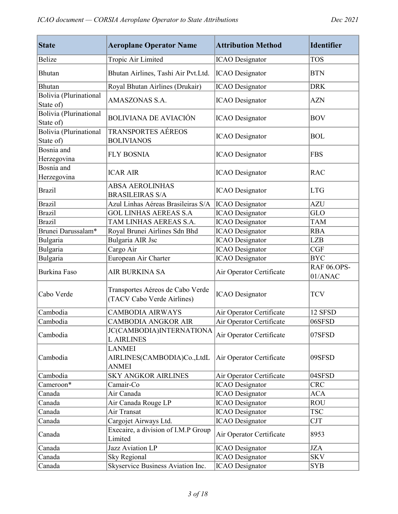| <b>State</b>                        | <b>Aeroplane Operator Name</b>                                 | <b>Attribution Method</b> | <b>Identifier</b>             |
|-------------------------------------|----------------------------------------------------------------|---------------------------|-------------------------------|
| <b>Belize</b>                       | Tropic Air Limited                                             | <b>ICAO</b> Designator    | <b>TOS</b>                    |
| Bhutan                              | Bhutan Airlines, Tashi Air Pvt.Ltd.                            | <b>ICAO</b> Designator    | <b>BTN</b>                    |
| <b>Bhutan</b>                       | Royal Bhutan Airlines (Drukair)                                | <b>ICAO</b> Designator    | <b>DRK</b>                    |
| Bolivia (Plurinational<br>State of) | AMASZONAS S.A.                                                 | <b>ICAO</b> Designator    | <b>AZN</b>                    |
| Bolivia (Plurinational<br>State of) | <b>BOLIVIANA DE AVIACIÓN</b>                                   | <b>ICAO</b> Designator    | <b>BOV</b>                    |
| Bolivia (Plurinational<br>State of) | TRANSPORTES AÉREOS<br><b>BOLIVIANOS</b>                        | <b>ICAO</b> Designator    | <b>BOL</b>                    |
| Bosnia and<br>Herzegovina           | <b>FLY BOSNIA</b>                                              | <b>ICAO</b> Designator    | <b>FBS</b>                    |
| Bosnia and<br>Herzegovina           | <b>ICAR AIR</b>                                                | <b>ICAO</b> Designator    | <b>RAC</b>                    |
| <b>Brazil</b>                       | <b>ABSA AEROLINHAS</b><br><b>BRASILEIRAS S/A</b>               | <b>ICAO</b> Designator    | <b>LTG</b>                    |
| <b>Brazil</b>                       | Azul Linhas Aéreas Brasileiras S/A                             | <b>ICAO</b> Designator    | <b>AZU</b>                    |
| <b>Brazil</b>                       | <b>GOL LINHAS AEREAS S.A</b>                                   | <b>ICAO</b> Designator    | GLO                           |
| <b>Brazil</b>                       | TAM LINHAS AEREAS S.A.                                         | <b>ICAO</b> Designator    | <b>TAM</b>                    |
| Brunei Darussalam*                  | Royal Brunei Airlines Sdn Bhd                                  | <b>ICAO</b> Designator    | <b>RBA</b>                    |
| Bulgaria                            | Bulgaria AIR Jsc                                               | <b>ICAO</b> Designator    | <b>LZB</b>                    |
| Bulgaria                            | Cargo Air                                                      | <b>ICAO</b> Designator    | CGF                           |
| Bulgaria                            | European Air Charter                                           | <b>ICAO</b> Designator    | <b>BYC</b>                    |
| <b>Burkina Faso</b>                 | AIR BURKINA SA                                                 | Air Operator Certificate  | <b>RAF 06.OPS-</b><br>01/ANAC |
| Cabo Verde                          | Transportes Aéreos de Cabo Verde<br>(TACV Cabo Verde Airlines) | <b>ICAO</b> Designator    | <b>TCV</b>                    |
| Cambodia                            | <b>CAMBODIA AIRWAYS</b>                                        | Air Operator Certificate  | 12 SFSD                       |
| Cambodia                            | <b>CAMBODIA ANGKOR AIR</b>                                     | Air Operator Certificate  | 06SFSD                        |
| Cambodia                            | <b>JC(CAMBODIA)INTERNATIONA</b><br><b>LAIRLINES</b>            | Air Operator Certificate  | 07SFSD                        |
| Cambodia                            | <b>LANMEI</b><br>AIRLINES(CAMBODIA)Co., LtdL<br><b>ANMEI</b>   | Air Operator Certificate  | 09SFSD                        |
| Cambodia                            | <b>SKY ANGKOR AIRLINES</b>                                     | Air Operator Certificate  | 04SFSD                        |
| Cameroon*                           | Camair-Co                                                      | <b>ICAO</b> Designator    | <b>CRC</b>                    |
| Canada                              | Air Canada                                                     | <b>ICAO</b> Designator    | <b>ACA</b>                    |
| Canada                              | Air Canada Rouge LP                                            | <b>ICAO</b> Designator    | <b>ROU</b>                    |
| Canada                              | Air Transat                                                    | <b>ICAO</b> Designator    | <b>TSC</b>                    |
| Canada                              | Cargojet Airways Ltd.                                          | <b>ICAO</b> Designator    | <b>CJT</b>                    |
| Canada                              | Execaire, a division of I.M.P Group<br>Limited                 | Air Operator Certificate  | 8953                          |
| Canada                              | Jazz Aviation LP                                               | <b>ICAO</b> Designator    | <b>JZA</b>                    |
| Canada                              | <b>Sky Regional</b>                                            | <b>ICAO</b> Designator    | <b>SKV</b>                    |
| Canada                              | Skyservice Business Aviation Inc.                              | <b>ICAO</b> Designator    | <b>SYB</b>                    |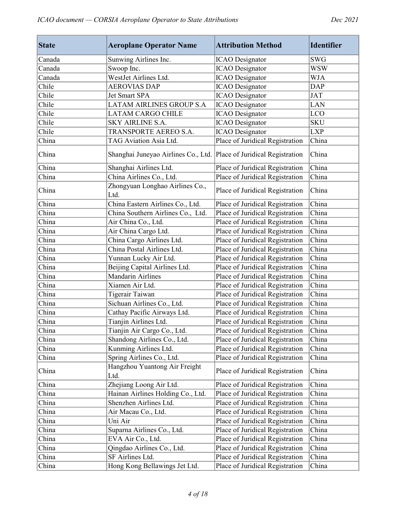| <b>State</b> | <b>Aeroplane Operator Name</b>                                      | <b>Attribution Method</b>       | <b>Identifier</b>         |
|--------------|---------------------------------------------------------------------|---------------------------------|---------------------------|
| Canada       | Sunwing Airlines Inc.                                               | <b>ICAO</b> Designator          | <b>SWG</b>                |
| Canada       | Swoop Inc.                                                          | <b>ICAO</b> Designator          | <b>WSW</b>                |
| Canada       | WestJet Airlines Ltd.                                               | <b>ICAO</b> Designator          | <b>WJA</b>                |
| Chile        | <b>AEROVIAS DAP</b>                                                 | <b>ICAO</b> Designator          | <b>DAP</b>                |
| Chile        | Jet Smart SPA                                                       | <b>ICAO</b> Designator          | <b>JAT</b>                |
| Chile        | <b>LATAM AIRLINES GROUP S.A</b>                                     | <b>ICAO</b> Designator          | <b>LAN</b>                |
| Chile        | <b>LATAM CARGO CHILE</b>                                            | <b>ICAO</b> Designator          | <b>LCO</b>                |
| Chile        | <b>SKY AIRLINE S.A.</b>                                             | <b>ICAO</b> Designator          | <b>SKU</b>                |
| Chile        | TRANSPORTE AEREO S.A.                                               | <b>ICAO</b> Designator          | <b>LXP</b>                |
| China        | TAG Aviation Asia Ltd.                                              | Place of Juridical Registration | China                     |
| China        | Shanghai Juneyao Airlines Co., Ltd. Place of Juridical Registration |                                 | China                     |
| China        | Shanghai Airlines Ltd.                                              | Place of Juridical Registration | China                     |
| China        | China Airlines Co., Ltd.                                            | Place of Juridical Registration | China                     |
| China        | Zhongyuan Longhao Airlines Co.,<br>Ltd.                             | Place of Juridical Registration | China                     |
| China        | China Eastern Airlines Co., Ltd.                                    | Place of Juridical Registration | China                     |
| China        | China Southern Airlines Co., Ltd.                                   | Place of Juridical Registration | China                     |
| China        | Air China Co., Ltd.                                                 | Place of Juridical Registration | China                     |
| China        | Air China Cargo Ltd.                                                | Place of Juridical Registration | China                     |
| China        | China Cargo Airlines Ltd.                                           | Place of Juridical Registration | China                     |
| China        | China Postal Airlines Ltd.                                          | Place of Juridical Registration | China                     |
| China        | Yunnan Lucky Air Ltd.                                               | Place of Juridical Registration | China                     |
| China        | Beijing Capital Airlines Ltd.                                       | Place of Juridical Registration | China                     |
| China        | <b>Mandarin Airlines</b>                                            | Place of Juridical Registration | China                     |
| China        | Xiamen Air Ltd.                                                     | Place of Juridical Registration | China                     |
| China        | Tigerair Taiwan                                                     | Place of Juridical Registration | China                     |
| China        | Sichuan Airlines Co., Ltd.                                          | Place of Juridical Registration | $\overline{\text{China}}$ |
| China        | Cathay Pacific Airways Ltd.                                         | Place of Juridical Registration | China                     |
| China        | Tianjin Airlines Ltd.                                               | Place of Juridical Registration | China                     |
| China        | Tianjin Air Cargo Co., Ltd.                                         | Place of Juridical Registration | China                     |
| China        | Shandong Airlines Co., Ltd.                                         | Place of Juridical Registration | China                     |
| China        | Kunming Airlines Ltd.                                               | Place of Juridical Registration | China                     |
| China        | Spring Airlines Co., Ltd.                                           | Place of Juridical Registration | China                     |
| China        | Hangzhou Yuantong Air Freight<br>Ltd.                               | Place of Juridical Registration | China                     |
| China        | Zhejiang Loong Air Ltd.                                             | Place of Juridical Registration | China                     |
| China        | Hainan Airlines Holding Co., Ltd.                                   | Place of Juridical Registration | China                     |
| China        | Shenzhen Airlines Ltd.                                              | Place of Juridical Registration | China                     |
| China        | Air Macau Co., Ltd.                                                 | Place of Juridical Registration | China                     |
| China        | Uni Air                                                             | Place of Juridical Registration | China                     |
| China        | Suparna Airlines Co., Ltd.                                          | Place of Juridical Registration | China                     |
| China        | EVA Air Co., Ltd.                                                   | Place of Juridical Registration | China                     |
| China        | Qingdao Airlines Co., Ltd.                                          | Place of Juridical Registration | China                     |
| China        | SF Airlines Ltd.                                                    | Place of Juridical Registration | China                     |
| China        | Hong Kong Bellawings Jet Ltd.                                       | Place of Juridical Registration | China                     |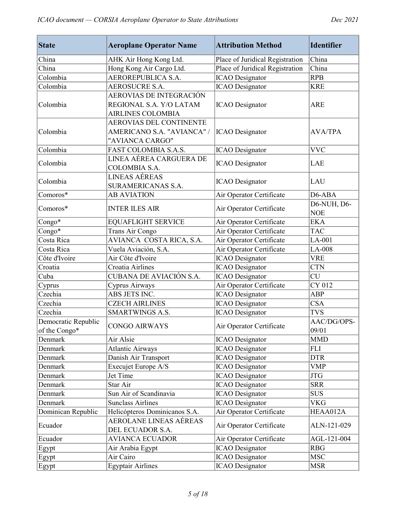| <b>State</b>        | <b>Aeroplane Operator Name</b>    | <b>Attribution Method</b>       | <b>Identifier</b> |
|---------------------|-----------------------------------|---------------------------------|-------------------|
| China               | AHK Air Hong Kong Ltd.            | Place of Juridical Registration | China             |
| China               | Hong Kong Air Cargo Ltd.          | Place of Juridical Registration | China             |
| Colombia            | AEROREPUBLICA S.A.                | <b>ICAO</b> Designator          | <b>RPB</b>        |
| Colombia            | <b>AEROSUCRE S.A.</b>             | <b>ICAO</b> Designator          | <b>KRE</b>        |
|                     | AEROVIAS DE INTEGRACIÓN           |                                 |                   |
| Colombia            | REGIONAL S.A. Y/O LATAM           | <b>ICAO</b> Designator          | <b>ARE</b>        |
|                     | <b>AIRLINES COLOMBIA</b>          |                                 |                   |
|                     | <b>AEROVIAS DEL CONTINENTE</b>    |                                 |                   |
| Colombia            | <b>AMERICANO S.A. "AVIANCA" /</b> | <b>ICAO</b> Designator          | <b>AVA/TPA</b>    |
|                     | "AVIANCA CARGO"                   |                                 |                   |
| Colombia            | FAST COLOMBIA S.A.S.              | <b>ICAO</b> Designator          | <b>VVC</b>        |
| Colombia            | LINEA AÉREA CARGUERA DE           |                                 | LAE               |
|                     | COLOMBIA S.A.                     | <b>ICAO</b> Designator          |                   |
| Colombia            | <b>LINEAS AÉREAS</b>              | <b>ICAO</b> Designator          | LAU               |
|                     | <b>SURAMERICANAS S.A.</b>         |                                 |                   |
| Comoros*            | <b>AB AVIATION</b>                | Air Operator Certificate        | D6-ABA            |
| Comoros*            | <b>INTER ILES AIR</b>             | Air Operator Certificate        | D6-NUH, D6-       |
|                     |                                   |                                 | <b>NOE</b>        |
| Congo*              | <b>EQUAFLIGHT SERVICE</b>         | Air Operator Certificate        | <b>EKA</b>        |
| Congo*              | Trans Air Congo                   | Air Operator Certificate        | <b>TAC</b>        |
| Costa Rica          | AVIANCA COSTA RICA, S.A.          | Air Operator Certificate        | $LA-001$          |
| Costa Rica          | Vuela Aviación, S.A.              | Air Operator Certificate        | LA-008            |
| Côte d'Ivoire       | Air Côte d'Ivoire                 | <b>ICAO</b> Designator          | <b>VRE</b>        |
| Croatia             | Croatia Airlines                  | <b>ICAO</b> Designator          | <b>CTN</b>        |
| Cuba                | CUBANA DE AVIACIÓN S.A.           | <b>ICAO</b> Designator          | <b>CU</b>         |
| Cyprus              | Cyprus Airways                    | Air Operator Certificate        | CY 012            |
| Czechia             | ABS JETS INC.                     | <b>ICAO</b> Designator          | <b>ABP</b>        |
| Czechia             | <b>CZECH AIRLINES</b>             | <b>ICAO</b> Designator          | <b>CSA</b>        |
| Czechia             | <b>SMARTWINGS A.S.</b>            | <b>ICAO</b> Designator          | <b>TVS</b>        |
| Democratic Republic | <b>CONGO AIRWAYS</b>              | Air Operator Certificate        | AAC/DG/OPS-       |
| of the Congo*       |                                   |                                 | 09/01             |
| Denmark             | Air Alsie                         | <b>ICAO</b> Designator          | <b>MMD</b>        |
| Denmark             | <b>Atlantic Airways</b>           | <b>ICAO</b> Designator          | <b>FLI</b>        |
| Denmark             | Danish Air Transport              | <b>ICAO</b> Designator          | <b>DTR</b>        |
| Denmark             | Execujet Europe A/S               | <b>ICAO</b> Designator          | <b>VMP</b>        |
| Denmark             | Jet Time                          | <b>ICAO</b> Designator          | <b>JTG</b>        |
| Denmark             | Star Air                          | <b>ICAO</b> Designator          | <b>SRR</b>        |
| Denmark             | Sun Air of Scandinavia            | <b>ICAO</b> Designator          | <b>SUS</b>        |
| Denmark             | <b>Sunclass Airlines</b>          | <b>ICAO</b> Designator          | <b>VKG</b>        |
| Dominican Republic  | Helicópteros Dominicanos S.A.     | Air Operator Certificate        | HEAA012A          |
| Ecuador             | AEROLANE LINEAS AÉREAS            |                                 |                   |
|                     | DEL ECUADOR S.A.                  | Air Operator Certificate        | ALN-121-029       |
| Ecuador             | <b>AVIANCA ECUADOR</b>            | Air Operator Certificate        | AGL-121-004       |
| Egypt               | Air Arabia Egypt                  | <b>ICAO</b> Designator          | <b>RBG</b>        |
| Egypt               | Air Cairo                         | <b>ICAO</b> Designator          | <b>MSC</b>        |
| Egypt               | <b>Egyptair Airlines</b>          | <b>ICAO</b> Designator          | <b>MSR</b>        |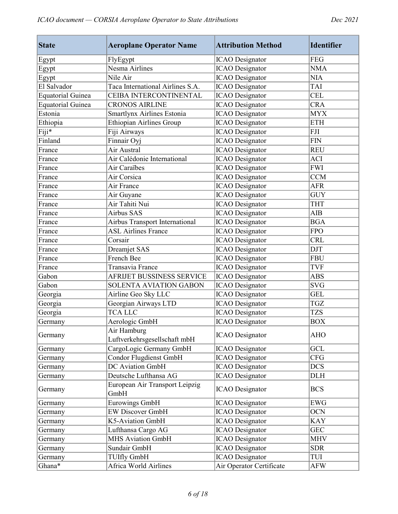| <b>State</b>             | <b>Aeroplane Operator Name</b>              | <b>Attribution Method</b> | <b>Identifier</b> |
|--------------------------|---------------------------------------------|---------------------------|-------------------|
| Egypt                    | FlyEgypt                                    | <b>ICAO</b> Designator    | <b>FEG</b>        |
| Egypt                    | Nesma Airlines                              | <b>ICAO</b> Designator    | <b>NMA</b>        |
| Egypt                    | Nile Air                                    | <b>ICAO</b> Designator    | <b>NIA</b>        |
| El Salvador              | Taca International Airlines S.A.            | <b>ICAO</b> Designator    | <b>TAI</b>        |
| <b>Equatorial Guinea</b> | CEIBA INTERCONTINENTAL                      | <b>ICAO</b> Designator    | <b>CEL</b>        |
| <b>Equatorial Guinea</b> | <b>CRONOS AIRLINE</b>                       | <b>ICAO</b> Designator    | <b>CRA</b>        |
| Estonia                  | Smartlynx Airlines Estonia                  | <b>ICAO</b> Designator    | <b>MYX</b>        |
| Ethiopia                 | <b>Ethiopian Airlines Group</b>             | <b>ICAO</b> Designator    | <b>ETH</b>        |
| Fiji*                    | Fiji Airways                                | <b>ICAO</b> Designator    | <b>FJI</b>        |
| Finland                  | Finnair Oyj                                 | <b>ICAO</b> Designator    | <b>FIN</b>        |
| France                   | Air Austral                                 | <b>ICAO</b> Designator    | <b>REU</b>        |
| France                   | Air Calédonie International                 | <b>ICAO</b> Designator    | <b>ACI</b>        |
| France                   | Air Caraïbes                                | <b>ICAO</b> Designator    | <b>FWI</b>        |
| France                   | Air Corsica                                 | <b>ICAO</b> Designator    | <b>CCM</b>        |
| France                   | Air France                                  | <b>ICAO</b> Designator    | <b>AFR</b>        |
| France                   | Air Guyane                                  | <b>ICAO</b> Designator    | <b>GUY</b>        |
| France                   | Air Tahiti Nui                              | <b>ICAO</b> Designator    | <b>THT</b>        |
| France                   | <b>Airbus SAS</b>                           | <b>ICAO</b> Designator    | <b>AIB</b>        |
| France                   | Airbus Transport International              | <b>ICAO</b> Designator    | <b>BGA</b>        |
| France                   | <b>ASL Airlines France</b>                  | <b>ICAO</b> Designator    | <b>FPO</b>        |
| France                   | Corsair                                     | <b>ICAO</b> Designator    | <b>CRL</b>        |
| France                   | Dreamjet SAS                                | <b>ICAO</b> Designator    | <b>DJT</b>        |
| France                   | French Bee                                  | <b>ICAO</b> Designator    | <b>FBU</b>        |
| France                   | Transavia France                            | <b>ICAO</b> Designator    | <b>TVF</b>        |
| Gabon                    | AFRIJET BUSSINESS SERVICE                   | <b>ICAO</b> Designator    | <b>ABS</b>        |
| Gabon                    | SOLENTA AVIATION GABON                      | <b>ICAO</b> Designator    | <b>SVG</b>        |
| Georgia                  | Airline Geo Sky LLC                         | <b>ICAO</b> Designator    | <b>GEL</b>        |
| Georgia                  | Georgian Airways LTD                        | <b>ICAO</b> Designator    | <b>TGZ</b>        |
| Georgia                  | <b>TCA LLC</b>                              | <b>ICAO</b> Designator    | <b>TZS</b>        |
| Germany                  | Aerologic GmbH                              | <b>ICAO</b> Designator    | <b>BOX</b>        |
| Germany                  | Air Hamburg<br>Luftverkehrsgesellschaft mbH | <b>ICAO</b> Designator    | <b>AHO</b>        |
| Germany                  | CargoLogic Germany GmbH                     | <b>ICAO</b> Designator    | GCL               |
| Germany                  | Condor Flugdienst GmbH                      | <b>ICAO</b> Designator    | <b>CFG</b>        |
| Germany                  | DC Aviation GmbH                            | <b>ICAO</b> Designator    | <b>DCS</b>        |
| Germany                  | Deutsche Lufthansa AG                       | <b>ICAO</b> Designator    | <b>DLH</b>        |
| Germany                  | European Air Transport Leipzig<br>GmbH      | <b>ICAO</b> Designator    | <b>BCS</b>        |
| Germany                  | <b>Eurowings GmbH</b>                       | <b>ICAO</b> Designator    | <b>EWG</b>        |
| Germany                  | <b>EW Discover GmbH</b>                     | <b>ICAO</b> Designator    | <b>OCN</b>        |
| Germany                  | K5-Aviation GmbH                            | <b>ICAO</b> Designator    | <b>KAY</b>        |
| Germany                  | Lufthansa Cargo AG                          | <b>ICAO</b> Designator    | <b>GEC</b>        |
| Germany                  | <b>MHS Aviation GmbH</b>                    | <b>ICAO</b> Designator    | <b>MHV</b>        |
| Germany                  | Sundair GmbH                                | <b>ICAO</b> Designator    | <b>SDR</b>        |
| Germany                  | <b>TUIfly GmbH</b>                          | <b>ICAO</b> Designator    | TUI               |
| Ghana*                   | Africa World Airlines                       | Air Operator Certificate  | <b>AFW</b>        |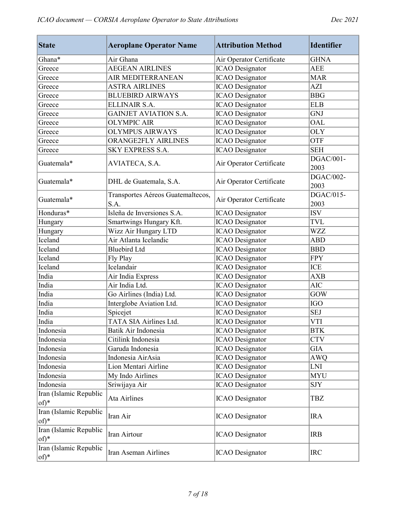| <b>State</b>                     | <b>Aeroplane Operator Name</b>            | <b>Attribution Method</b> | <b>Identifier</b> |
|----------------------------------|-------------------------------------------|---------------------------|-------------------|
| Ghana*                           | Air Ghana                                 | Air Operator Certificate  | <b>GHNA</b>       |
| Greece                           | <b>AEGEAN AIRLINES</b>                    | <b>ICAO</b> Designator    | <b>AEE</b>        |
| Greece                           | AIR MEDITERRANEAN                         | <b>ICAO</b> Designator    | <b>MAR</b>        |
| Greece                           | <b>ASTRA AIRLINES</b>                     | <b>ICAO</b> Designator    | <b>AZI</b>        |
| Greece                           | <b>BLUEBIRD AIRWAYS</b>                   | <b>ICAO</b> Designator    | <b>BBG</b>        |
| Greece                           | ELLINAIR S.A.                             | <b>ICAO</b> Designator    | <b>ELB</b>        |
| Greece                           | <b>GAINJET AVIATION S.A.</b>              | <b>ICAO</b> Designator    | GNJ               |
| Greece                           | <b>OLYMPIC AIR</b>                        | <b>ICAO</b> Designator    | <b>OAL</b>        |
| Greece                           | <b>OLYMPUS AIRWAYS</b>                    | <b>ICAO</b> Designator    | <b>OLY</b>        |
| Greece                           | <b>ORANGE2FLY AIRLINES</b>                | <b>ICAO</b> Designator    | <b>OTF</b>        |
| Greece                           | SKY EXPRESS S.A.                          | <b>ICAO</b> Designator    | <b>SEH</b>        |
| Guatemala*                       | AVIATECA, S.A.                            | Air Operator Certificate  | DGAC/001-<br>2003 |
| Guatemala*                       | DHL de Guatemala, S.A.                    | Air Operator Certificate  | DGAC/002-<br>2003 |
| Guatemala*                       | Transportes Aéreos Guatemaltecos,<br>S.A. | Air Operator Certificate  | DGAC/015-<br>2003 |
| Honduras*                        | Isleña de Inversiones S.A.                | <b>ICAO</b> Designator    | <b>ISV</b>        |
| Hungary                          | Smartwings Hungary Kft.                   | <b>ICAO</b> Designator    | <b>TVL</b>        |
| Hungary                          | Wizz Air Hungary LTD                      | <b>ICAO</b> Designator    | <b>WZZ</b>        |
| Iceland                          | Air Atlanta Icelandic                     | <b>ICAO</b> Designator    | <b>ABD</b>        |
| Iceland                          | <b>Bluebird Ltd</b>                       | <b>ICAO</b> Designator    | <b>BBD</b>        |
| Iceland                          | Fly Play                                  | <b>ICAO</b> Designator    | <b>FPY</b>        |
| Iceland                          | Icelandair                                | <b>ICAO</b> Designator    | <b>ICE</b>        |
| India                            | Air India Express                         | <b>ICAO</b> Designator    | <b>AXB</b>        |
| India                            | Air India Ltd.                            | <b>ICAO</b> Designator    | <b>AIC</b>        |
| India                            | Go Airlines (India) Ltd.                  | <b>ICAO</b> Designator    | <b>GOW</b>        |
| India                            | Interglobe Aviation Ltd.                  | <b>ICAO</b> Designator    | <b>IGO</b>        |
| India                            | Spicejet                                  | <b>ICAO</b> Designator    | <b>SEJ</b>        |
| India                            | TATA SIA Airlines Ltd.                    | <b>ICAO</b> Designator    | <b>VTI</b>        |
| Indonesia                        | Batik Air Indonesia                       | <b>ICAO</b> Designator    | <b>BTK</b>        |
| Indonesia                        | Citilink Indonesia                        | <b>ICAO</b> Designator    | <b>CTV</b>        |
| Indonesia                        | Garuda Indonesia                          | <b>ICAO</b> Designator    | <b>GIA</b>        |
| Indonesia                        | Indonesia AirAsia                         | <b>ICAO</b> Designator    | <b>AWQ</b>        |
| Indonesia                        | Lion Mentari Airline                      | <b>ICAO</b> Designator    | LNI               |
| Indonesia                        | My Indo Airlines                          | <b>ICAO</b> Designator    | <b>MYU</b>        |
| Indonesia                        | Sriwijaya Air                             | <b>ICAO</b> Designator    | SJY               |
| Iran (Islamic Republic<br>of)*   | <b>Ata Airlines</b>                       | <b>ICAO</b> Designator    | TBZ               |
| Iran (Islamic Republic<br>$of)*$ | Iran Air                                  | <b>ICAO</b> Designator    | <b>IRA</b>        |
| Iran (Islamic Republic<br>$of)*$ | Iran Airtour                              | <b>ICAO</b> Designator    | <b>IRB</b>        |
| Iran (Islamic Republic<br>$of)*$ | Iran Aseman Airlines                      | <b>ICAO</b> Designator    | <b>IRC</b>        |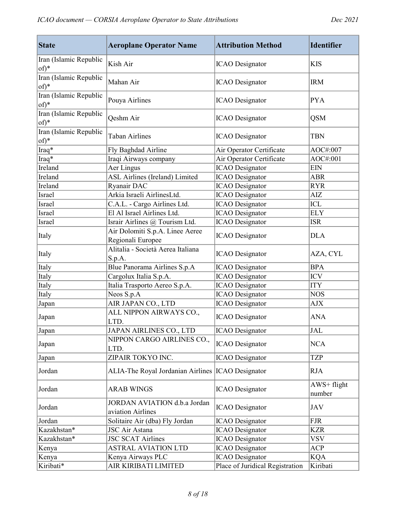| <b>State</b>                   | <b>Aeroplane Operator Name</b>                       | <b>Attribution Method</b>       | <b>Identifier</b>     |
|--------------------------------|------------------------------------------------------|---------------------------------|-----------------------|
| Iran (Islamic Republic<br>of)* | Kish Air                                             | <b>ICAO</b> Designator          | <b>KIS</b>            |
| Iran (Islamic Republic<br>of)* | Mahan Air                                            | <b>ICAO</b> Designator          | <b>IRM</b>            |
| Iran (Islamic Republic<br>of)* | Pouya Airlines                                       | <b>ICAO</b> Designator          | <b>PYA</b>            |
| Iran (Islamic Republic<br>of)* | Qeshm Air                                            | <b>ICAO</b> Designator          | <b>QSM</b>            |
| Iran (Islamic Republic<br>of)* | Taban Airlines                                       | <b>ICAO</b> Designator          | <b>TBN</b>            |
| Iraq*                          | Fly Baghdad Airline                                  | Air Operator Certificate        | AOC#:007              |
| Iraq*                          | Iraqi Airways company                                | Air Operator Certificate        | AOC#:001              |
| Ireland                        | Aer Lingus                                           | <b>ICAO</b> Designator          | <b>EIN</b>            |
| Ireland                        | ASL Airlines (Ireland) Limited                       | <b>ICAO</b> Designator          | <b>ABR</b>            |
| Ireland                        | Ryanair DAC                                          | <b>ICAO</b> Designator          | <b>RYR</b>            |
| Israel                         | Arkia Israeli AirlinesLtd.                           | <b>ICAO</b> Designator          | AIZ                   |
| Israel                         | C.A.L. - Cargo Airlines Ltd.                         | <b>ICAO</b> Designator          | <b>ICL</b>            |
| Israel                         | El Al Israel Airlines Ltd.                           | <b>ICAO</b> Designator          | <b>ELY</b>            |
| Israel                         | Israir Airlines @ Tourism Ltd.                       | <b>ICAO</b> Designator          | <b>ISR</b>            |
| Italy                          | Air Dolomiti S.p.A. Linee Aeree<br>Regionali Europee | <b>ICAO</b> Designator          | <b>DLA</b>            |
| Italy                          | Alitalia - Società Aerea Italiana<br>S.p.A.          | <b>ICAO</b> Designator          | AZA, CYL              |
| Italy                          | Blue Panorama Airlines S.p.A                         | <b>ICAO</b> Designator          | <b>BPA</b>            |
| Italy                          | Cargolux Italia S.p.A.                               | <b>ICAO</b> Designator          | <b>ICV</b>            |
| Italy                          | Italia Trasporto Aereo S.p.A.                        | <b>ICAO</b> Designator          | <b>ITY</b>            |
| Italy                          | Neos S.p.A                                           | <b>ICAO</b> Designator          | <b>NOS</b>            |
| Japan                          | AIR JAPAN CO., LTD                                   | <b>ICAO</b> Designator          | AJX                   |
| Japan                          | ALL NIPPON AIRWAYS CO.,<br>LTD.                      | <b>ICAO</b> Designator          | <b>ANA</b>            |
| Japan                          | JAPAN AIRLINES CO., LTD                              | <b>ICAO</b> Designator          | JAL                   |
| Japan                          | NIPPON CARGO AIRLINES CO.,<br>LTD.                   | <b>ICAO</b> Designator          | <b>NCA</b>            |
| Japan                          | ZIPAIR TOKYO INC.                                    | <b>ICAO</b> Designator          | TZP                   |
| Jordan                         | ALIA-The Royal Jordanian Airlines  ICAO Designator   |                                 | RJA                   |
| Jordan                         | <b>ARAB WINGS</b>                                    | <b>ICAO</b> Designator          | AWS+ flight<br>number |
| Jordan                         | JORDAN AVIATION d.b.a Jordan<br>aviation Airlines    | <b>ICAO</b> Designator          | <b>JAV</b>            |
| Jordan                         | Solitaire Air (dba) Fly Jordan                       | <b>ICAO</b> Designator          | <b>FJR</b>            |
| Kazakhstan*                    | JSC Air Astana                                       | <b>ICAO</b> Designator          | <b>KZR</b>            |
| Kazakhstan*                    | <b>JSC SCAT Airlines</b>                             | <b>ICAO</b> Designator          | <b>VSV</b>            |
| Kenya                          | <b>ASTRAL AVIATION LTD</b>                           | <b>ICAO</b> Designator          | <b>ACP</b>            |
| Kenya                          | Kenya Airways PLC                                    | <b>ICAO</b> Designator          | <b>KQA</b>            |
| Kiribati*                      | AIR KIRIBATI LIMITED                                 | Place of Juridical Registration | Kiribati              |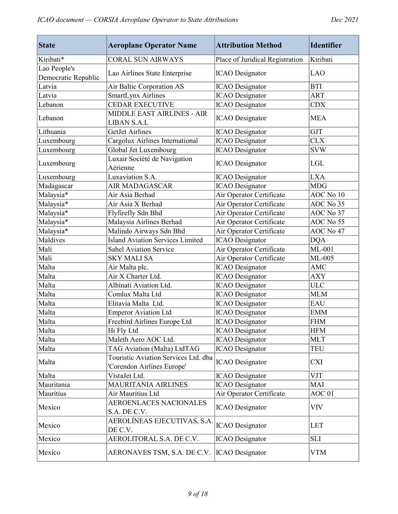| <b>State</b>        | <b>Aeroplane Operator Name</b>                                     | <b>Attribution Method</b>       | <b>Identifier</b> |
|---------------------|--------------------------------------------------------------------|---------------------------------|-------------------|
| Kiribati*           | <b>CORAL SUN AIRWAYS</b>                                           | Place of Juridical Registration | Kiribati          |
| Lao People's        |                                                                    |                                 |                   |
| Democratic Republic | Lao Airlines State Enterprise                                      | <b>ICAO</b> Designator          | <b>LAO</b>        |
| Latvia              | Air Baltic Corporation AS                                          | <b>ICAO</b> Designator          | <b>BTI</b>        |
| Latvia              | SmartLynx Airlines                                                 | <b>ICAO</b> Designator          | <b>ART</b>        |
| Lebanon             | <b>CEDAR EXECUTIVE</b>                                             | <b>ICAO</b> Designator          | <b>CDX</b>        |
| Lebanon             | MIDDLE EAST AIRLINES - AIR<br><b>LIBAN S.A.L</b>                   | <b>ICAO</b> Designator          | <b>MEA</b>        |
| Lithuania           | <b>GetJet Airlines</b>                                             | <b>ICAO</b> Designator          | <b>GJT</b>        |
| Luxembourg          | Cargolux Airlines International                                    | <b>ICAO</b> Designator          | <b>CLX</b>        |
| Luxembourg          | Global Jet Luxembourg                                              | <b>ICAO</b> Designator          | <b>SVW</b>        |
| Luxembourg          | Luxair Société de Navigation<br>Aérienne                           | <b>ICAO</b> Designator          | LGL               |
| Luxembourg          | Luxaviation S.A.                                                   | <b>ICAO</b> Designator          | <b>LXA</b>        |
| Madagascar          | <b>AIR MADAGASCAR</b>                                              | <b>ICAO</b> Designator          | <b>MDG</b>        |
| Malaysia*           | Air Asia Berhad                                                    | Air Operator Certificate        | AOC No 10         |
| Malaysia*           | Air Asia X Berhad                                                  | Air Operator Certificate        | AOC No 35         |
| Malaysia*           | Flyfirefly Sdn Bhd                                                 | Air Operator Certificate        | AOC No 37         |
| Malaysia*           | Malaysia Airlines Berhad                                           | Air Operator Certificate        | AOC No 55         |
| Malaysia*           | Malindo Airways Sdn Bhd                                            | Air Operator Certificate        | AOC No 47         |
| Maldives            | <b>Island Aviation Services Limited</b>                            | <b>ICAO</b> Designator          | <b>DQA</b>        |
| Mali                | <b>Sahel Aviation Service</b>                                      | Air Operator Certificate        | $ML-001$          |
| Mali                | <b>SKY MALI SA</b>                                                 | Air Operator Certificate        | ML-005            |
| Malta               | Air Malta plc.                                                     | <b>ICAO</b> Designator          | <b>AMC</b>        |
| Malta               | Air X Charter Ltd.                                                 | <b>ICAO</b> Designator          | <b>AXY</b>        |
| Malta               | Albinati Aviation Ltd.                                             | <b>ICAO</b> Designator          | <b>ULC</b>        |
| Malta               | Comlux Malta Ltd                                                   | <b>ICAO</b> Designator          | <b>MLM</b>        |
| Malta               | Elitavia Malta Ltd.                                                | <b>ICAO</b> Designator          | <b>EAU</b>        |
| Malta               | <b>Emperor Aviation Ltd</b>                                        | <b>ICAO</b> Designator          | <b>EMM</b>        |
| Malta               | Freebird Airlines Europe Ltd                                       | <b>ICAO</b> Designator          | <b>FHM</b>        |
| Malta               | Hi Fly Ltd                                                         | <b>ICAO</b> Designator          | <b>HFM</b>        |
| Malta               | Maleth Aero AOC Ltd.                                               | <b>ICAO</b> Designator          | <b>MLT</b>        |
| Malta               | TAG Aviation (Malta) LtdTAG                                        | <b>ICAO</b> Designator          | TEU               |
| Malta               | Touristic Aviation Services Ltd. dba<br>'Corendon Airlines Europe' | <b>ICAO</b> Designator          | CXI               |
| Malta               | VistaJet Ltd.                                                      | <b>ICAO</b> Designator          | <b>VJT</b>        |
| Mauritania          | <b>MAURITANIA AIRLINES</b>                                         | <b>ICAO</b> Designator          | <b>MAI</b>        |
| Mauritius           | Air Mauritius Ltd                                                  | Air Operator Certificate        | AOC <sub>01</sub> |
| Mexico              | AEROENLACES NACIONALES<br>S.A. DE C.V.                             | <b>ICAO</b> Designator          | VIV               |
| Mexico              | AEROLÍNEAS EJECUTIVAS, S.A.<br>DE C.V.                             | <b>ICAO</b> Designator          | <b>LET</b>        |
| Mexico              | AEROLITORAL S.A. DE C.V.                                           | <b>ICAO</b> Designator          | <b>SLI</b>        |
| Mexico              | AERONAVES TSM, S.A. DE C.V.                                        | <b>ICAO</b> Designator          | <b>VTM</b>        |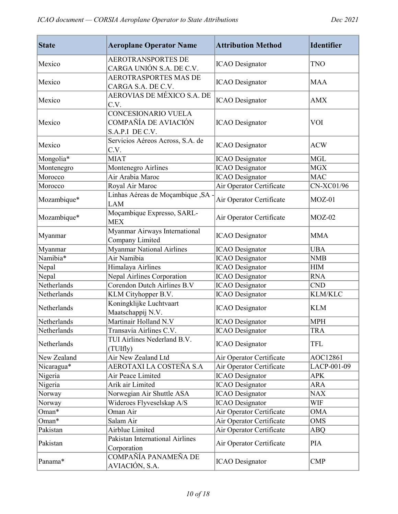| <b>State</b> | <b>Aeroplane Operator Name</b>                                 | <b>Attribution Method</b> | <b>Identifier</b> |
|--------------|----------------------------------------------------------------|---------------------------|-------------------|
| Mexico       | <b>AEROTRANSPORTES DE</b><br>CARGA UNIÓN S.A. DE C.V.          | <b>ICAO</b> Designator    | TNO               |
| Mexico       | <b>AEROTRASPORTES MAS DE</b><br>CARGA S.A. DE C.V.             | <b>ICAO</b> Designator    | <b>MAA</b>        |
| Mexico       | AEROVIAS DE MÉXICO S.A. DE<br>C.V.                             | <b>ICAO</b> Designator    | <b>AMX</b>        |
| Mexico       | CONCESIONARIO VUELA<br>COMPAÑÍA DE AVIACIÓN<br>S.A.P.I DE C.V. | <b>ICAO</b> Designator    | <b>VOI</b>        |
| Mexico       | Servicios Aéreos Across, S.A. de<br>C.V.                       | <b>ICAO</b> Designator    | <b>ACW</b>        |
| Mongolia*    | <b>MIAT</b>                                                    | <b>ICAO</b> Designator    | <b>MGL</b>        |
| Montenegro   | Montenegro Airlines                                            | <b>ICAO</b> Designator    | <b>MGX</b>        |
| Morocco      | Air Arabia Maroc                                               | <b>ICAO</b> Designator    | <b>MAC</b>        |
| Morocco      | Royal Air Maroc                                                | Air Operator Certificate  | <b>CN-XC01/96</b> |
| Mozambique*  | Linhas Aéreas de Moçambique, SA -<br><b>LAM</b>                | Air Operator Certificate  | $MOZ-01$          |
| Mozambique*  | Moçambique Expresso, SARL-<br><b>MEX</b>                       | Air Operator Certificate  | $MOZ-02$          |
| Myanmar      | Myanmar Airways International<br>Company Limited               | <b>ICAO</b> Designator    | <b>MMA</b>        |
| Myanmar      | <b>Myanmar National Airlines</b>                               | <b>ICAO</b> Designator    | <b>UBA</b>        |
| Namibia*     | Air Namibia                                                    | <b>ICAO</b> Designator    | <b>NMB</b>        |
| Nepal        | Himalaya Airlines                                              | <b>ICAO</b> Designator    | <b>HIM</b>        |
| Nepal        | Nepal Airlines Corporation                                     | <b>ICAO</b> Designator    | <b>RNA</b>        |
| Netherlands  | <b>Corendon Dutch Airlines B.V</b>                             | <b>ICAO</b> Designator    | <b>CND</b>        |
| Netherlands  | KLM Cityhopper B.V.                                            | <b>ICAO</b> Designator    | <b>KLM/KLC</b>    |
| Netherlands  | Koningklijke Luchtvaart<br>Maatschappij N.V.                   | <b>ICAO</b> Designator    | <b>KLM</b>        |
| Netherlands  | Martinair Holland N.V                                          | <b>ICAO</b> Designator    | <b>MPH</b>        |
| Netherlands  | Transavia Airlines C.V.                                        | <b>ICAO</b> Designator    | TRA               |
| Netherlands  | TUI Airlines Nederland B.V.<br>(TUIfly)                        | <b>ICAO</b> Designator    | TFL               |
| New Zealand  | Air New Zealand Ltd                                            | Air Operator Certificate  | AOC12861          |
| Nicaragua*   | AEROTAXI LA COSTEÑA S.A                                        | Air Operator Certificate  | LACP-001-09       |
| Nigeria      | Air Peace Limited                                              | <b>ICAO</b> Designator    | <b>APK</b>        |
| Nigeria      | Arik air Limited                                               | <b>ICAO</b> Designator    | ARA               |
| Norway       | Norwegian Air Shuttle ASA                                      | <b>ICAO</b> Designator    | <b>NAX</b>        |
| Norway       | Wideroes Flyveselskap A/S                                      | <b>ICAO</b> Designator    | WIF               |
| Oman*        | Oman Air                                                       | Air Operator Certificate  | <b>OMA</b>        |
| Oman*        | Salam Air                                                      | Air Operator Certificate  | <b>OMS</b>        |
| Pakistan     | Airblue Limited                                                | Air Operator Certificate  | <b>ABQ</b>        |
| Pakistan     | Pakistan International Airlines<br>Corporation                 | Air Operator Certificate  | <b>PIA</b>        |
| Panama*      | COMPAÑÍA PANAMEÑA DE<br>AVIACIÓN, S.A.                         | <b>ICAO</b> Designator    | <b>CMP</b>        |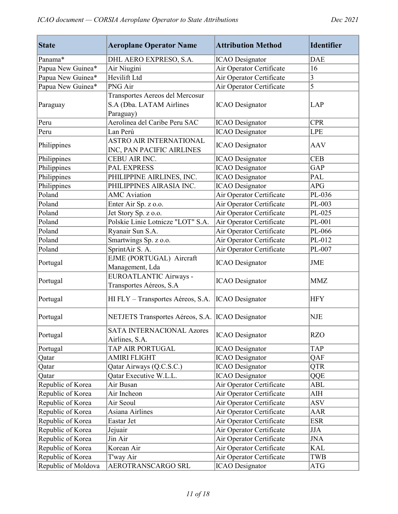| <b>State</b>        | <b>Aeroplane Operator Name</b>                                           | <b>Attribution Method</b> | <b>Identifier</b>                |
|---------------------|--------------------------------------------------------------------------|---------------------------|----------------------------------|
| Panama*             | DHL AERO EXPRESO, S.A.                                                   | <b>ICAO</b> Designator    | <b>DAE</b>                       |
| Papua New Guinea*   | Air Niugini                                                              | Air Operator Certificate  | 16                               |
| Papua New Guinea*   | Hevilift Ltd                                                             | Air Operator Certificate  | 3                                |
| Papua New Guinea*   | PNG Air                                                                  | Air Operator Certificate  | 5                                |
| Paraguay            | Transportes Aereos del Mercosur<br>S.A (Dba. LATAM Airlines<br>Paraguay) | <b>ICAO</b> Designator    | <b>LAP</b>                       |
| Peru                | Aerolinea del Caribe Peru SAC                                            | <b>ICAO</b> Designator    | <b>CPR</b>                       |
| Peru                | Lan Perú                                                                 | <b>ICAO</b> Designator    | <b>LPE</b>                       |
| Philippines         | <b>ASTRO AIR INTERNATIONAL</b><br>INC, PAN PACIFIC AIRLINES              | <b>ICAO</b> Designator    | <b>AAV</b>                       |
| Philippines         | CEBU AIR INC.                                                            | <b>ICAO</b> Designator    | <b>CEB</b>                       |
| Philippines         | <b>PAL EXPRESS</b>                                                       | <b>ICAO</b> Designator    | GAP                              |
| Philippines         | PHILIPPINE AIRLINES, INC.                                                | <b>ICAO</b> Designator    | <b>PAL</b>                       |
| Philippines         | PHILIPPINES AIRASIA INC.                                                 | <b>ICAO</b> Designator    | <b>APG</b>                       |
| Poland              | <b>AMC</b> Aviation                                                      | Air Operator Certificate  | PL-036                           |
| Poland              | Enter Air Sp. z o.o.                                                     | Air Operator Certificate  | PL-003                           |
| Poland              | Jet Story Sp. z o.o.                                                     | Air Operator Certificate  | PL-025                           |
| Poland              | Polskie Linie Lotnicze "LOT" S.A.                                        | Air Operator Certificate  | PL-001                           |
| Poland              | Ryanair Sun S.A.                                                         | Air Operator Certificate  | PL-066                           |
| Poland              | Smartwings Sp. z o.o.                                                    | Air Operator Certificate  | PL-012                           |
| Poland              | SprintAir S. A.                                                          | Air Operator Certificate  | PL-007                           |
| Portugal            | EJME (PORTUGAL) Aircraft<br>Management, Lda                              | <b>ICAO</b> Designator    | <b>JME</b>                       |
| Portugal            | <b>EUROATLANTIC Airways -</b><br>Transportes Aéreos, S.A                 | <b>ICAO</b> Designator    | <b>MMZ</b>                       |
| Portugal            | HI FLY - Transportes Aéreos, S.A.                                        | <b>ICAO</b> Designator    | <b>HFY</b>                       |
| Portugal            | NETJETS Transportes Aéreos, S.A.  ICAO Designator                        |                           | <b>NJE</b>                       |
| Portugal            | <b>SATA INTERNACIONAL Azores</b><br>Airlines, S.A.                       | <b>ICAO</b> Designator    | <b>RZO</b>                       |
| Portugal            | TAP AIR PORTUGAL                                                         | <b>ICAO</b> Designator    | <b>TAP</b>                       |
| Qatar               | <b>AMIRI FLIGHT</b>                                                      | <b>ICAO</b> Designator    | QAF                              |
| Qatar               | Qatar Airways (Q.C.S.C.)                                                 | <b>ICAO</b> Designator    | <b>QTR</b>                       |
| Qatar               | Qatar Executive W.L.L.                                                   | <b>ICAO</b> Designator    | QQE                              |
| Republic of Korea   | Air Busan                                                                | Air Operator Certificate  | <b>ABL</b>                       |
| Republic of Korea   | Air Incheon                                                              | Air Operator Certificate  | $\mathbf{A}\mathbf{I}\mathbf{H}$ |
| Republic of Korea   | Air Seoul                                                                | Air Operator Certificate  | <b>ASV</b>                       |
| Republic of Korea   | Asiana Airlines                                                          | Air Operator Certificate  | <b>AAR</b>                       |
| Republic of Korea   | Eastar Jet                                                               | Air Operator Certificate  | <b>ESR</b>                       |
| Republic of Korea   | Jejuair                                                                  | Air Operator Certificate  | <b>JJA</b>                       |
| Republic of Korea   | Jin Air                                                                  | Air Operator Certificate  | <b>JNA</b>                       |
| Republic of Korea   | Korean Air                                                               | Air Operator Certificate  | <b>KAL</b>                       |
| Republic of Korea   | T'way Air                                                                | Air Operator Certificate  | <b>TWB</b>                       |
| Republic of Moldova | AEROTRANSCARGO SRL                                                       | <b>ICAO</b> Designator    | <b>ATG</b>                       |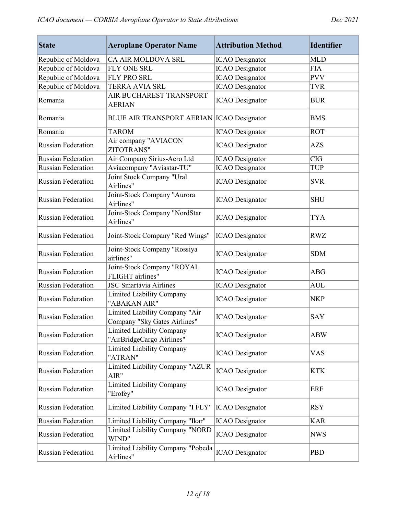| <b>State</b>              | <b>Aeroplane Operator Name</b>                                 | <b>Attribution Method</b> | <b>Identifier</b> |
|---------------------------|----------------------------------------------------------------|---------------------------|-------------------|
| Republic of Moldova       | CA AIR MOLDOVA SRL                                             | <b>ICAO</b> Designator    | <b>MLD</b>        |
| Republic of Moldova       | FLY ONE SRL                                                    | <b>ICAO</b> Designator    | <b>FIA</b>        |
| Republic of Moldova       | FLY PRO SRL                                                    | <b>ICAO</b> Designator    | <b>PVV</b>        |
| Republic of Moldova       | TERRA AVIA SRL                                                 | <b>ICAO</b> Designator    | <b>TVR</b>        |
| Romania                   | AIR BUCHAREST TRANSPORT<br><b>AERIAN</b>                       | <b>ICAO</b> Designator    | <b>BUR</b>        |
| Romania                   | BLUE AIR TRANSPORT AERIAN ICAO Designator                      |                           | <b>BMS</b>        |
| Romania                   | <b>TAROM</b>                                                   | <b>ICAO</b> Designator    | <b>ROT</b>        |
| <b>Russian Federation</b> | Air company "AVIACON<br><b>ZITOTRANS"</b>                      | <b>ICAO</b> Designator    | <b>AZS</b>        |
| <b>Russian Federation</b> | Air Company Sirius-Aero Ltd                                    | <b>ICAO</b> Designator    | <b>CIG</b>        |
| <b>Russian Federation</b> | Aviacompany "Aviastar-TU"                                      | <b>ICAO</b> Designator    | <b>TUP</b>        |
| <b>Russian Federation</b> | Joint Stock Company "Ural<br>Airlines"                         | <b>ICAO</b> Designator    | <b>SVR</b>        |
| <b>Russian Federation</b> | Joint-Stock Company "Aurora<br>Airlines"                       | <b>ICAO</b> Designator    | <b>SHU</b>        |
| <b>Russian Federation</b> | Joint-Stock Company "NordStar<br>Airlines"                     | <b>ICAO</b> Designator    | <b>TYA</b>        |
| Russian Federation        | Joint-Stock Company "Red Wings"                                | <b>ICAO</b> Designator    | <b>RWZ</b>        |
| <b>Russian Federation</b> | Joint-Stock Company "Rossiya<br>airlines"                      | <b>ICAO</b> Designator    | <b>SDM</b>        |
| <b>Russian Federation</b> | Joint-Stock Company "ROYAL<br>FLIGHT airlines"                 | <b>ICAO</b> Designator    | <b>ABG</b>        |
| <b>Russian Federation</b> | <b>JSC Smartavia Airlines</b>                                  | <b>ICAO</b> Designator    | <b>AUL</b>        |
| <b>Russian Federation</b> | <b>Limited Liability Company</b><br>"ABAKAN AIR"               | <b>ICAO</b> Designator    | <b>NKP</b>        |
| <b>Russian Federation</b> | Limited Liability Company "Air<br>Company "Sky Gates Airlines" | <b>ICAO</b> Designator    | <b>SAY</b>        |
| <b>Russian Federation</b> | Limited Liability Company<br>"AirBridgeCargo Airlines"         | <b>ICAO</b> Designator    | <b>ABW</b>        |
| Russian Federation        | Limited Liability Company<br>"ATRAN"                           | <b>ICAO</b> Designator    | <b>VAS</b>        |
| Russian Federation        | Limited Liability Company "AZUR<br>AIR"                        | <b>ICAO</b> Designator    | <b>KTK</b>        |
| <b>Russian Federation</b> | <b>Limited Liability Company</b><br>"Erofey"                   | <b>ICAO</b> Designator    | <b>ERF</b>        |
| <b>Russian Federation</b> | Limited Liability Company "I FLY"                              | <b>ICAO</b> Designator    | <b>RSY</b>        |
| Russian Federation        | Limited Liability Company "Ikar"                               | <b>ICAO</b> Designator    | <b>KAR</b>        |
| Russian Federation        | <b>Limited Liability Company "NORD</b><br>WIND"                | <b>ICAO</b> Designator    | <b>NWS</b>        |
| <b>Russian Federation</b> | Limited Liability Company "Pobeda<br>Airlines"                 | <b>ICAO</b> Designator    | <b>PBD</b>        |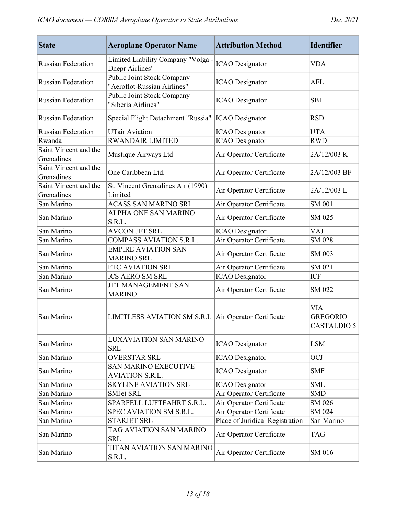| <b>State</b>                        | <b>Aeroplane Operator Name</b>                            | <b>Attribution Method</b>       | <b>Identifier</b>                            |
|-------------------------------------|-----------------------------------------------------------|---------------------------------|----------------------------------------------|
| <b>Russian Federation</b>           | Limited Liability Company "Volga -<br>Dnepr Airlines"     | <b>ICAO</b> Designator          | VDA                                          |
| <b>Russian Federation</b>           | Public Joint Stock Company<br>"Aeroflot-Russian Airlines" | <b>ICAO</b> Designator          | AFL                                          |
| <b>Russian Federation</b>           | Public Joint Stock Company<br>"Siberia Airlines"          | <b>ICAO</b> Designator          | <b>SBI</b>                                   |
| <b>Russian Federation</b>           | Special Flight Detachment "Russia"                        | <b>ICAO</b> Designator          | <b>RSD</b>                                   |
| <b>Russian Federation</b>           | <b>UTair Aviation</b>                                     | <b>ICAO</b> Designator          | <b>UTA</b>                                   |
| Rwanda                              | <b>RWANDAIR LIMITED</b>                                   | <b>ICAO</b> Designator          | <b>RWD</b>                                   |
| Saint Vincent and the<br>Grenadines | Mustique Airways Ltd                                      | Air Operator Certificate        | 2A/12/003 K                                  |
| Saint Vincent and the<br>Grenadines | One Caribbean Ltd.                                        | Air Operator Certificate        | 2A/12/003 BF                                 |
| Saint Vincent and the<br>Grenadines | St. Vincent Grenadines Air (1990)<br>Limited              | Air Operator Certificate        | 2A/12/003L                                   |
| San Marino                          | <b>ACASS SAN MARINO SRL</b>                               | Air Operator Certificate        | SM 001                                       |
| San Marino                          | ALPHA ONE SAN MARINO<br>S.R.L.                            | Air Operator Certificate        | SM 025                                       |
| San Marino                          | <b>AVCON JET SRL</b>                                      | <b>ICAO</b> Designator          | VAJ                                          |
| San Marino                          | COMPASS AVIATION S.R.L.                                   | Air Operator Certificate        | SM 028                                       |
| San Marino                          | <b>EMPIRE AVIATION SAN</b><br><b>MARINO SRL</b>           | Air Operator Certificate        | SM 003                                       |
| San Marino                          | FTC AVIATION SRL                                          | Air Operator Certificate        | SM 021                                       |
| San Marino                          | <b>ICS AERO SM SRL</b>                                    | <b>ICAO</b> Designator          | <b>ICF</b>                                   |
| San Marino                          | <b>JET MANAGEMENT SAN</b><br><b>MARINO</b>                | Air Operator Certificate        | SM 022                                       |
| San Marino                          | LIMITLESS AVIATION SM S.R.L   Air Operator Certificate    |                                 | <b>VIA</b><br><b>GREGORIO</b><br>CASTALDIO 5 |
| San Marino                          | <b>LUXAVIATION SAN MARINO</b><br><b>SRL</b>               | <b>ICAO</b> Designator          | <b>LSM</b>                                   |
| San Marino                          | <b>OVERSTAR SRL</b>                                       | <b>ICAO</b> Designator          | <b>OCJ</b>                                   |
| San Marino                          | <b>SAN MARINO EXECUTIVE</b><br><b>AVIATION S.R.L.</b>     | <b>ICAO</b> Designator          | <b>SMF</b>                                   |
| San Marino                          | <b>SKYLINE AVIATION SRL</b>                               | <b>ICAO</b> Designator          | <b>SML</b>                                   |
| San Marino                          | SMJet SRL                                                 | Air Operator Certificate        | <b>SMD</b>                                   |
| San Marino                          | SPARFELL LUFTFAHRT S.R.L.                                 | Air Operator Certificate        | SM 026                                       |
| San Marino                          | SPEC AVIATION SM S.R.L.                                   | Air Operator Certificate        | SM 024                                       |
| San Marino                          | <b>STARJET SRL</b>                                        | Place of Juridical Registration | San Marino                                   |
| San Marino                          | TAG AVIATION SAN MARINO<br><b>SRL</b>                     | Air Operator Certificate        | TAG                                          |
| San Marino                          | TITAN AVIATION SAN MARINO<br>S.R.L.                       | Air Operator Certificate        | SM 016                                       |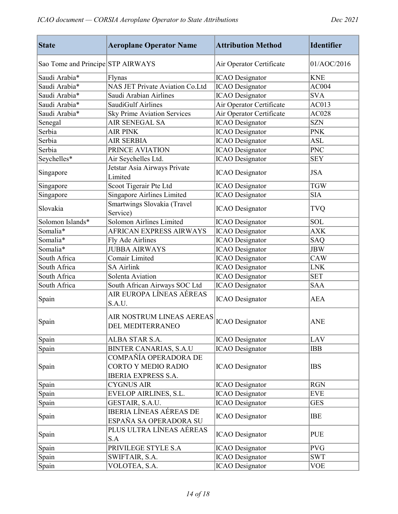| <b>State</b>                      | <b>Aeroplane Operator Name</b>                                             | <b>Attribution Method</b> | <b>Identifier</b> |
|-----------------------------------|----------------------------------------------------------------------------|---------------------------|-------------------|
| Sao Tome and Principe STP AIRWAYS |                                                                            | Air Operator Certificate  | 01/AOC/2016       |
| Saudi Arabia*                     | Flynas                                                                     | <b>ICAO</b> Designator    | <b>KNE</b>        |
| Saudi Arabia*                     | <b>NAS JET Private Aviation Co.Ltd</b>                                     | <b>ICAO</b> Designator    | AC004             |
| Saudi Arabia*                     | Saudi Arabian Airlines                                                     | <b>ICAO</b> Designator    | <b>SVA</b>        |
| Saudi Arabia*                     | SaudiGulf Airlines                                                         | Air Operator Certificate  | AC013             |
| Saudi Arabia*                     | <b>Sky Prime Aviation Services</b>                                         | Air Operator Certificate  | AC028             |
| Senegal                           | AIR SENEGAL SA                                                             | <b>ICAO</b> Designator    | <b>SZN</b>        |
| Serbia                            | <b>AIR PINK</b>                                                            | <b>ICAO</b> Designator    | <b>PNK</b>        |
| Serbia                            | <b>AIR SERBIA</b>                                                          | <b>ICAO</b> Designator    | <b>ASL</b>        |
| Serbia                            | PRINCE AVIATION                                                            | <b>ICAO</b> Designator    | <b>PNC</b>        |
| Seychelles*                       | Air Seychelles Ltd.                                                        | <b>ICAO</b> Designator    | <b>SEY</b>        |
| Singapore                         | Jetstar Asia Airways Private<br>Limited                                    | <b>ICAO</b> Designator    | <b>JSA</b>        |
| Singapore                         | Scoot Tigerair Pte Ltd                                                     | <b>ICAO</b> Designator    | <b>TGW</b>        |
| Singapore                         | Singapore Airlines Limited                                                 | <b>ICAO</b> Designator    | <b>SIA</b>        |
| Slovakia                          | Smartwings Slovakia (Travel<br>Service)                                    | <b>ICAO</b> Designator    | <b>TVQ</b>        |
| Solomon Islands*                  | Solomon Airlines Limited                                                   | <b>ICAO</b> Designator    | <b>SOL</b>        |
| Somalia*                          | AFRICAN EXPRESS AIRWAYS                                                    | <b>ICAO</b> Designator    | <b>AXK</b>        |
| Somalia <sup>*</sup>              | Fly Ade Airlines                                                           | <b>ICAO</b> Designator    | <b>SAQ</b>        |
| Somalia*                          | <b>JUBBA AIRWAYS</b>                                                       | <b>ICAO</b> Designator    | <b>JBW</b>        |
| South Africa                      | Comair Limited                                                             | <b>ICAO</b> Designator    | <b>CAW</b>        |
| South Africa                      | <b>SA Airlink</b>                                                          | <b>ICAO</b> Designator    | LNK               |
| South Africa                      | Solenta Aviation                                                           | <b>ICAO</b> Designator    | <b>SET</b>        |
| South Africa                      | South African Airways SOC Ltd                                              | <b>ICAO</b> Designator    | <b>SAA</b>        |
| Spain                             | AIR EUROPA LÍNEAS AÉREAS<br>S.A.U.                                         | <b>ICAO</b> Designator    | <b>AEA</b>        |
| Spain                             | AIR NOSTRUM LINEAS AEREAS<br>DEL MEDITERRANEO                              | <b>ICAO</b> Designator    | <b>ANE</b>        |
| Spain                             | ALBA STAR S.A.                                                             | <b>ICAO</b> Designator    | LAV               |
| Spain                             | <b>BINTER CANARIAS, S.A.U</b>                                              | <b>ICAO</b> Designator    | <b>IBB</b>        |
| Spain                             | COMPAÑÍA OPERADORA DE<br>CORTO Y MEDIO RADIO<br><b>IBERIA EXPRESS S.A.</b> | <b>ICAO</b> Designator    | <b>IBS</b>        |
| Spain                             | <b>CYGNUS AIR</b>                                                          | <b>ICAO</b> Designator    | <b>RGN</b>        |
| Spain                             | <b>EVELOP AIRLINES, S.L.</b>                                               | <b>ICAO</b> Designator    | <b>EVE</b>        |
| Spain                             | GESTAIR, S.A.U.                                                            | <b>ICAO</b> Designator    | <b>GES</b>        |
| Spain                             | IBERIA LÍNEAS AÉREAS DE<br>ESPAÑA SA OPERADORA SU                          | <b>ICAO</b> Designator    | <b>IBE</b>        |
| Spain                             | PLUS ULTRA LÍNEAS AÉREAS<br>S.A                                            | <b>ICAO</b> Designator    | <b>PUE</b>        |
| Spain                             | PRIVILEGE STYLE S.A                                                        | <b>ICAO</b> Designator    | <b>PVG</b>        |
| Spain                             | SWIFTAIR, S.A.                                                             | <b>ICAO</b> Designator    | <b>SWT</b>        |
| Spain                             | VOLOTEA, S.A.                                                              | <b>ICAO</b> Designator    | <b>VOE</b>        |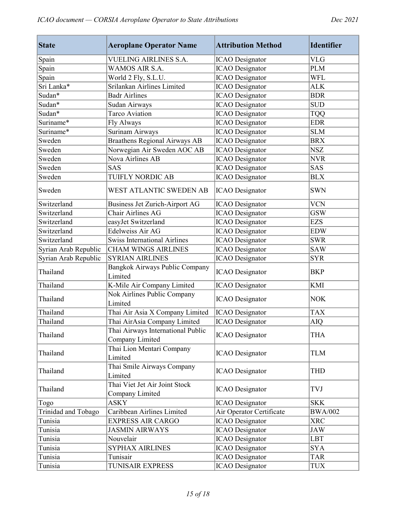| <b>State</b>         | <b>Aeroplane Operator Name</b>                       | <b>Attribution Method</b> | <b>Identifier</b> |
|----------------------|------------------------------------------------------|---------------------------|-------------------|
| Spain                | <b>VUELING AIRLINES S.A.</b>                         | <b>ICAO</b> Designator    | <b>VLG</b>        |
| Spain                | WAMOS AIR S.A.                                       | <b>ICAO</b> Designator    | <b>PLM</b>        |
| Spain                | World 2 Fly, S.L.U.                                  | <b>ICAO</b> Designator    | <b>WFL</b>        |
| Sri Lanka*           | Srilankan Airlines Limited                           | <b>ICAO</b> Designator    | <b>ALK</b>        |
| Sudan*               | <b>Badr Airlines</b>                                 | <b>ICAO</b> Designator    | <b>BDR</b>        |
| Sudan*               | Sudan Airways                                        | <b>ICAO</b> Designator    | <b>SUD</b>        |
| Sudan*               | Tarco Aviation                                       | <b>ICAO</b> Designator    | <b>TQQ</b>        |
| Suriname*            | Fly Always                                           | <b>ICAO</b> Designator    | <b>EDR</b>        |
| Suriname*            | Surinam Airways                                      | <b>ICAO</b> Designator    | <b>SLM</b>        |
| Sweden               | Braathens Regional Airways AB                        | <b>ICAO</b> Designator    | <b>BRX</b>        |
| Sweden               | Norwegian Air Sweden AOC AB                          | <b>ICAO</b> Designator    | <b>NSZ</b>        |
| Sweden               | Nova Airlines AB                                     | <b>ICAO</b> Designator    | <b>NVR</b>        |
| Sweden               | <b>SAS</b>                                           | <b>ICAO</b> Designator    | SAS               |
| Sweden               | <b>TUIFLY NORDIC AB</b>                              | <b>ICAO</b> Designator    | <b>BLX</b>        |
| Sweden               | WEST ATLANTIC SWEDEN AB                              | <b>ICAO</b> Designator    | <b>SWN</b>        |
| Switzerland          | Business Jet Zurich-Airport AG                       | <b>ICAO</b> Designator    | <b>VCN</b>        |
| Switzerland          | Chair Airlines AG                                    | <b>ICAO</b> Designator    | <b>GSW</b>        |
| Switzerland          | easyJet Switzerland                                  | <b>ICAO</b> Designator    | <b>EZS</b>        |
| Switzerland          | Edelweiss Air AG                                     | <b>ICAO</b> Designator    | <b>EDW</b>        |
| Switzerland          | <b>Swiss International Airlines</b>                  | <b>ICAO</b> Designator    | <b>SWR</b>        |
| Syrian Arab Republic | <b>CHAM WINGS AIRLINES</b>                           | <b>ICAO</b> Designator    | <b>SAW</b>        |
| Syrian Arab Republic | <b>SYRIAN AIRLINES</b>                               | <b>ICAO</b> Designator    | <b>SYR</b>        |
| Thailand             | Bangkok Airways Public Company<br>Limited            | <b>ICAO</b> Designator    | <b>BKP</b>        |
| Thailand             | K-Mile Air Company Limited                           | <b>ICAO</b> Designator    | <b>KMI</b>        |
| Thailand             | Nok Airlines Public Company<br>Limited               | <b>ICAO</b> Designator    | <b>NOK</b>        |
| Thailand             | Thai Air Asia X Company Limited                      | <b>ICAO</b> Designator    | <b>TAX</b>        |
| Thailand             | Thai AirAsia Company Limited                         | <b>ICAO</b> Designator    | AIQ               |
| Thailand             | Thai Airways International Public<br>Company Limited | <b>ICAO</b> Designator    | <b>THA</b>        |
| Thailand             | Thai Lion Mentari Company<br>Limited                 | <b>ICAO</b> Designator    | <b>TLM</b>        |
| Thailand             | Thai Smile Airways Company<br>Limited                | <b>ICAO</b> Designator    | THD               |
| Thailand             | Thai Viet Jet Air Joint Stock<br>Company Limited     | <b>ICAO</b> Designator    | TVJ               |
| Togo                 | <b>ASKY</b>                                          | <b>ICAO</b> Designator    | <b>SKK</b>        |
| Trinidad and Tobago  | Caribbean Airlines Limited                           | Air Operator Certificate  | <b>BWA/002</b>    |
| Tunisia              | <b>EXPRESS AIR CARGO</b>                             | <b>ICAO</b> Designator    | <b>XRC</b>        |
| Tunisia              | <b>JASMIN AIRWAYS</b>                                | <b>ICAO</b> Designator    | <b>JAW</b>        |
| Tunisia              | Nouvelair                                            | <b>ICAO</b> Designator    | <b>LBT</b>        |
| Tunisia              | <b>SYPHAX AIRLINES</b>                               | <b>ICAO</b> Designator    | <b>SYA</b>        |
| Tunisia              | Tunisair                                             | <b>ICAO</b> Designator    | <b>TAR</b>        |
| Tunisia              | TUNISAIR EXPRESS                                     | <b>ICAO</b> Designator    | <b>TUX</b>        |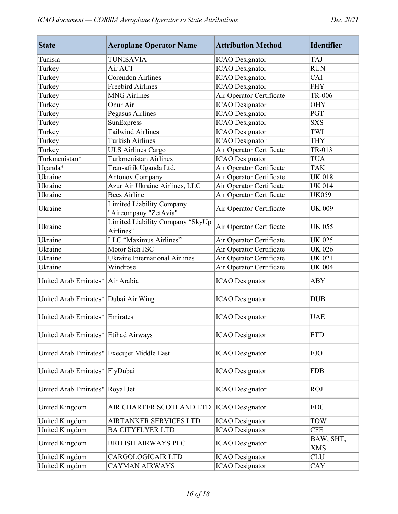| <b>State</b>                               | <b>Aeroplane Operator Name</b>                | <b>Attribution Method</b> | <b>Identifier</b>       |
|--------------------------------------------|-----------------------------------------------|---------------------------|-------------------------|
| Tunisia                                    | <b>TUNISAVIA</b>                              | <b>ICAO</b> Designator    | <b>TAJ</b>              |
| Turkey                                     | Air ACT                                       | <b>ICAO</b> Designator    | <b>RUN</b>              |
| Turkey                                     | Corendon Airlines                             | <b>ICAO</b> Designator    | CAI                     |
| Turkey                                     | <b>Freebird Airlines</b>                      | <b>ICAO</b> Designator    | <b>FHY</b>              |
| Turkey                                     | <b>MNG Airlines</b>                           | Air Operator Certificate  | TR-006                  |
| Turkey                                     | Onur Air                                      | <b>ICAO</b> Designator    | <b>OHY</b>              |
| Turkey                                     | Pegasus Airlines                              | <b>ICAO</b> Designator    | <b>PGT</b>              |
| Turkey                                     | SunExpress                                    | <b>ICAO</b> Designator    | <b>SXS</b>              |
| Turkey                                     | <b>Tailwind Airlines</b>                      | <b>ICAO</b> Designator    | TWI                     |
| Turkey                                     | <b>Turkish Airlines</b>                       | <b>ICAO</b> Designator    | <b>THY</b>              |
| Turkey                                     | <b>ULS Airlines Cargo</b>                     | Air Operator Certificate  | TR-013                  |
| Turkmenistan*                              | Turkmenistan Airlines                         | <b>ICAO</b> Designator    | <b>TUA</b>              |
| Uganda*                                    | Transafrik Uganda Ltd.                        | Air Operator Certificate  | <b>TAK</b>              |
| Ukraine                                    | <b>Antonov Company</b>                        | Air Operator Certificate  | <b>UK 018</b>           |
| Ukraine                                    | Azur Air Ukraine Airlines, LLC                | Air Operator Certificate  | <b>UK 014</b>           |
| Ukraine                                    | <b>Bees Airline</b>                           | Air Operator Certificate  | <b>UK059</b>            |
|                                            | <b>Limited Liability Company</b>              |                           |                         |
| Ukraine                                    | "Aircompany "ZetAvia"                         | Air Operator Certificate  | <b>UK 009</b>           |
| Ukraine                                    | Limited Liability Company "SkyUp<br>Airlines" | Air Operator Certificate  | <b>UK 055</b>           |
| Ukraine                                    | LLC "Maximus Airlines"                        | Air Operator Certificate  | <b>UK 025</b>           |
| Ukraine                                    | Motor Sich JSC                                | Air Operator Certificate  | <b>UK 026</b>           |
| Ukraine                                    | <b>Ukraine International Airlines</b>         | Air Operator Certificate  | <b>UK 021</b>           |
| Ukraine                                    | Windrose                                      | Air Operator Certificate  | <b>UK 004</b>           |
| United Arab Emirates* Air Arabia           |                                               | <b>ICAO</b> Designator    | <b>ABY</b>              |
| United Arab Emirates* Dubai Air Wing       |                                               | <b>ICAO</b> Designator    | <b>DUB</b>              |
| United Arab Emirates* Emirates             |                                               | <b>ICAO</b> Designator    | <b>UAE</b>              |
| United Arab Emirates* Etihad Airways       |                                               | <b>ICAO</b> Designator    | <b>ETD</b>              |
| United Arab Emirates* Execujet Middle East |                                               | <b>ICAO</b> Designator    | <b>EJO</b>              |
| United Arab Emirates* FlyDubai             |                                               | <b>ICAO</b> Designator    | <b>FDB</b>              |
| United Arab Emirates* Royal Jet            |                                               | <b>ICAO</b> Designator    | <b>ROJ</b>              |
| United Kingdom                             | AIR CHARTER SCOTLAND LTD                      | <b>ICAO</b> Designator    | <b>EDC</b>              |
| United Kingdom                             | AIRTANKER SERVICES LTD                        | <b>ICAO</b> Designator    | <b>TOW</b>              |
| <b>United Kingdom</b>                      | <b>BA CITYFLYER LTD</b>                       | <b>ICAO</b> Designator    | <b>CFE</b>              |
| United Kingdom                             | <b>BRITISH AIRWAYS PLC</b>                    | <b>ICAO</b> Designator    | BAW, SHT,<br><b>XMS</b> |
| United Kingdom                             | CARGOLOGICAIR LTD                             | <b>ICAO</b> Designator    | <b>CLU</b>              |
| United Kingdom                             | CAYMAN AIRWAYS                                | <b>ICAO</b> Designator    | CAY                     |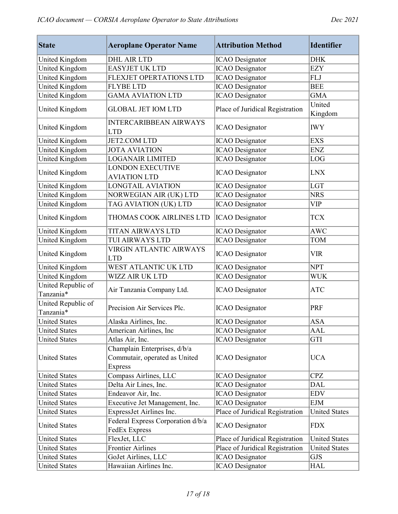| <b>State</b>                    | <b>Aeroplane Operator Name</b>                                                  | <b>Attribution Method</b>       | <b>Identifier</b>    |
|---------------------------------|---------------------------------------------------------------------------------|---------------------------------|----------------------|
| United Kingdom                  | <b>DHL AIR LTD</b>                                                              | <b>ICAO</b> Designator          | <b>DHK</b>           |
| United Kingdom                  | <b>EASYJET UK LTD</b>                                                           | <b>ICAO</b> Designator          | <b>EZY</b>           |
| <b>United Kingdom</b>           | FLEXJET OPERTATIONS LTD                                                         | <b>ICAO</b> Designator          | <b>FLJ</b>           |
| <b>United Kingdom</b>           | <b>FLYBE LTD</b>                                                                | <b>ICAO</b> Designator          | <b>BEE</b>           |
| <b>United Kingdom</b>           | <b>GAMA AVIATION LTD</b>                                                        | <b>ICAO</b> Designator          | <b>GMA</b>           |
| United Kingdom                  | <b>GLOBAL JET IOM LTD</b>                                                       | Place of Juridical Registration | United<br>Kingdom    |
| United Kingdom                  | <b>INTERCARIBBEAN AIRWAYS</b><br><b>LTD</b>                                     | <b>ICAO</b> Designator          | <b>IWY</b>           |
| United Kingdom                  | <b>JET2.COM LTD</b>                                                             | <b>ICAO</b> Designator          | <b>EXS</b>           |
| <b>United Kingdom</b>           | <b>JOTA AVIATION</b>                                                            | <b>ICAO</b> Designator          | <b>ENZ</b>           |
| United Kingdom                  | <b>LOGANAIR LIMITED</b>                                                         | <b>ICAO</b> Designator          | LOG                  |
| United Kingdom                  | <b>LONDON EXECUTIVE</b><br><b>AVIATION LTD</b>                                  | <b>ICAO</b> Designator          | <b>LNX</b>           |
| <b>United Kingdom</b>           | <b>LONGTAIL AVIATION</b>                                                        | <b>ICAO</b> Designator          | <b>LGT</b>           |
| United Kingdom                  | NORWEGIAN AIR (UK) LTD                                                          | <b>ICAO</b> Designator          | <b>NRS</b>           |
| United Kingdom                  | TAG AVIATION (UK) LTD                                                           | <b>ICAO</b> Designator          | <b>VIP</b>           |
| United Kingdom                  | THOMAS COOK AIRLINES LTD                                                        | <b>ICAO</b> Designator          | <b>TCX</b>           |
| United Kingdom                  | <b>TITAN AIRWAYS LTD</b>                                                        | <b>ICAO</b> Designator          | <b>AWC</b>           |
| United Kingdom                  | TUI AIRWAYS LTD                                                                 | <b>ICAO</b> Designator          | <b>TOM</b>           |
| United Kingdom                  | <b>VIRGIN ATLANTIC AIRWAYS</b><br><b>LTD</b>                                    | <b>ICAO</b> Designator          | <b>VIR</b>           |
| United Kingdom                  | WEST ATLANTIC UK LTD                                                            | <b>ICAO</b> Designator          | <b>NPT</b>           |
| <b>United Kingdom</b>           | WIZZ AIR UK LTD                                                                 | <b>ICAO</b> Designator          | <b>WUK</b>           |
| United Republic of<br>Tanzania* | Air Tanzania Company Ltd.                                                       | <b>ICAO</b> Designator          | <b>ATC</b>           |
| United Republic of<br>Tanzania* | Precision Air Services Plc.                                                     | <b>ICAO</b> Designator          | PRF                  |
| <b>United States</b>            | Alaska Airlines, Inc.                                                           | <b>ICAO</b> Designator          | <b>ASA</b>           |
| <b>United States</b>            | American Airlines, Inc                                                          | <b>ICAO</b> Designator          | AAL                  |
| <b>United States</b>            | Atlas Air, Inc.                                                                 | <b>ICAO</b> Designator          | GTI                  |
| <b>United States</b>            | Champlain Enterprises, d/b/a<br>Commutair, operated as United<br><b>Express</b> | <b>ICAO</b> Designator          | <b>UCA</b>           |
| <b>United States</b>            | Compass Airlines, LLC                                                           | <b>ICAO</b> Designator          | <b>CPZ</b>           |
| <b>United States</b>            | Delta Air Lines, Inc.                                                           | <b>ICAO</b> Designator          | <b>DAL</b>           |
| <b>United States</b>            | Endeavor Air, Inc.                                                              | <b>ICAO</b> Designator          | <b>EDV</b>           |
| <b>United States</b>            | Executive Jet Management, Inc.                                                  | <b>ICAO</b> Designator          | <b>EJM</b>           |
| <b>United States</b>            | ExpressJet Airlines Inc.                                                        | Place of Juridical Registration | <b>United States</b> |
| <b>United States</b>            | Federal Express Corporation d/b/a<br><b>FedEx Express</b>                       | <b>ICAO</b> Designator          | <b>FDX</b>           |
| <b>United States</b>            | FlexJet, LLC                                                                    | Place of Juridical Registration | <b>United States</b> |
| <b>United States</b>            | <b>Frontier Airlines</b>                                                        | Place of Juridical Registration | <b>United States</b> |
| <b>United States</b>            | GoJet Airlines, LLC                                                             | <b>ICAO</b> Designator          | <b>GJS</b>           |
| <b>United States</b>            | Hawaiian Airlines Inc.                                                          | <b>ICAO</b> Designator          | <b>HAL</b>           |